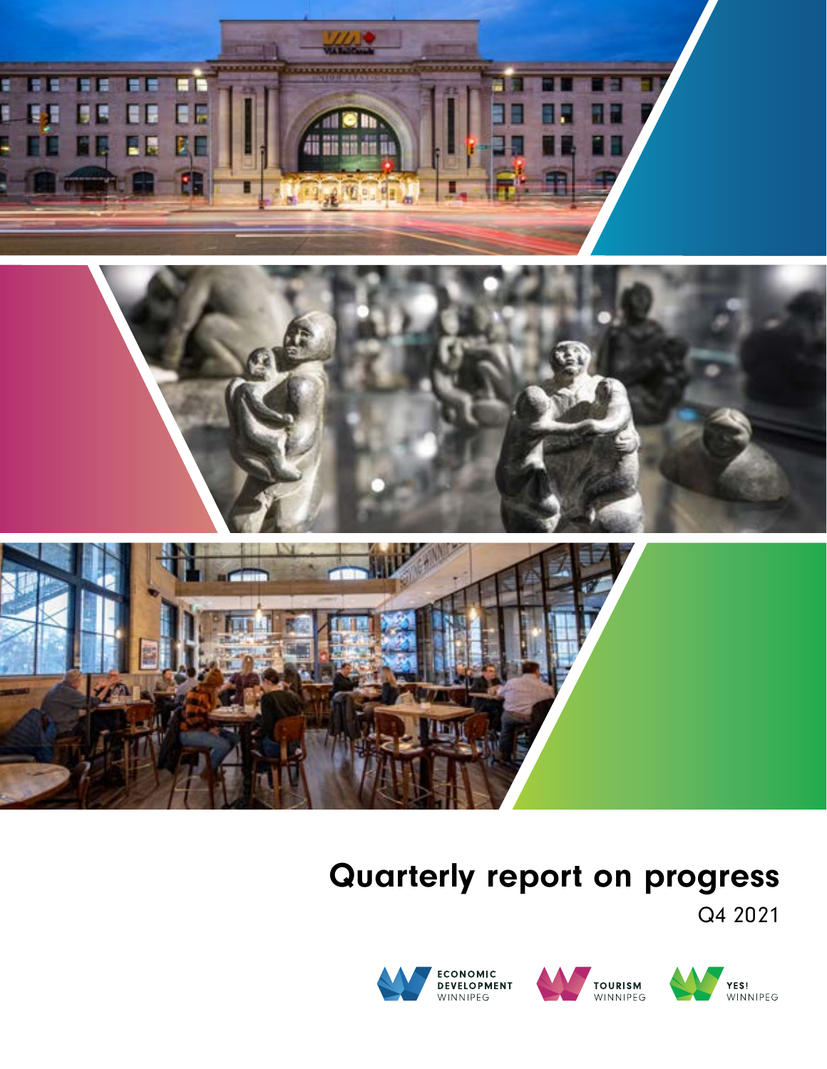



# Quarterly report on progress

Q4 2021



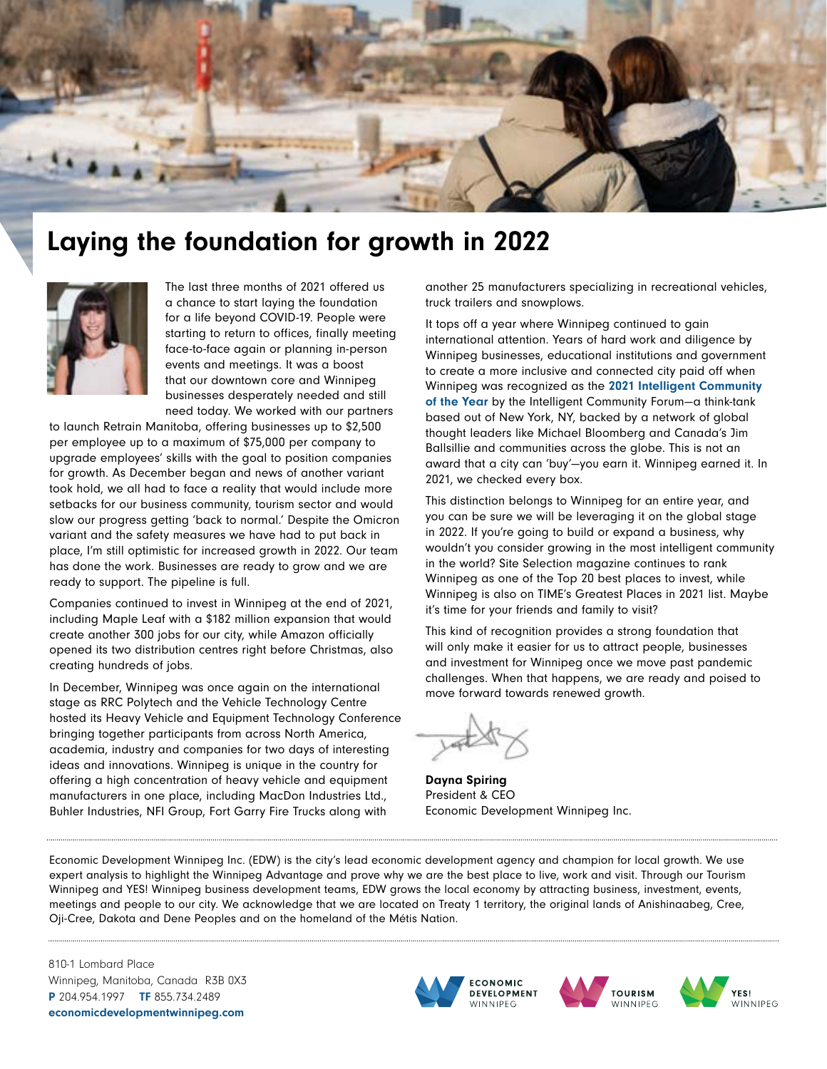

# Laying the foundation for growth in 2022



The last three months of 2021 offered us a chance to start laying the foundation for a life beyond COVID-19. People were starting to return to offices, finally meeting face-to-face again or planning in-person events and meetings. It was a boost that our downtown core and Winnipeg businesses desperately needed and still need today. We worked with our partners

to launch Retrain Manitoba, offering businesses up to \$2,500 per employee up to a maximum of \$75,000 per company to upgrade employees' skills with the goal to position companies for growth. As December began and news of another variant took hold, we all had to face a reality that would include more setbacks for our business community, tourism sector and would slow our progress getting 'back to normal.' Despite the Omicron variant and the safety measures we have had to put back in place, I'm still optimistic for increased growth in 2022. Our team has done the work. Businesses are ready to grow and we are ready to support. The pipeline is full.

Companies continued to invest in Winnipeg at the end of 2021, including Maple Leaf with a \$182 million expansion that would create another 300 jobs for our city, while Amazon officially opened its two distribution centres right before Christmas, also creating hundreds of jobs.

In December, Winnipeg was once again on the international stage as RRC Polytech and the Vehicle Technology Centre hosted its Heavy Vehicle and Equipment Technology Conference bringing together participants from across North America, academia, industry and companies for two days of interesting ideas and innovations. Winnipeg is unique in the country for offering a high concentration of heavy vehicle and equipment manufacturers in one place, including MacDon Industries Ltd., Buhler Industries, NFI Group, Fort Garry Fire Trucks along with

another 25 manufacturers specializing in recreational vehicles, truck trailers and snowplows.

It tops off a year where Winnipeg continued to gain international attention. Years of hard work and diligence by Winnipeg businesses, educational institutions and government to create a more inclusive and connected city paid off when Winnipeg was recognized as the [2021 Intelligent Community](https://www.economicdevelopmentwinnipeg.com/newsroom/read,post/965/winnipeg-named-the-world-s-most-intelligent-community-for-2021)  [of the Year](https://www.economicdevelopmentwinnipeg.com/newsroom/read,post/965/winnipeg-named-the-world-s-most-intelligent-community-for-2021) by the Intelligent Community Forum—a think-tank based out of New York, NY, backed by a network of global thought leaders like Michael Bloomberg and Canada's Jim Ballsillie and communities across the globe. This is not an award that a city can 'buy'—you earn it. Winnipeg earned it. In 2021, we checked every box.

This distinction belongs to Winnipeg for an entire year, and you can be sure we will be leveraging it on the global stage in 2022. If you're going to build or expand a business, why wouldn't you consider growing in the most intelligent community in the world? Site Selection magazine continues to rank Winnipeg as one of the Top 20 best places to invest, while Winnipeg is also on TIME's Greatest Places in 2021 list. Maybe it's time for your friends and family to visit?

This kind of recognition provides a strong foundation that will only make it easier for us to attract people, businesses and investment for Winnipeg once we move past pandemic challenges. When that happens, we are ready and poised to move forward towards renewed growth.

Dayna Spiring President & CEO Economic Development Winnipeg Inc.

Economic Development Winnipeg Inc. (EDW) is the city's lead economic development agency and champion for local growth. We use expert analysis to highlight the Winnipeg Advantage and prove why we are the best place to live, work and visit. Through our Tourism Winnipeg and YES! Winnipeg business development teams, EDW grows the local economy by attracting business, investment, events, meetings and people to our city. We acknowledge that we are located on Treaty 1 territory, the original lands of Anishinaabeg, Cree, Oji-Cree, Dakota and Dene Peoples and on the homeland of the Métis Nation.

810-1 Lombard Place Winnipeg, Manitoba, Canada R3B 0X3 P 204.954.1997 TF 855.734.2489 [economicdevelopmentwinnipeg.com](http://economicdevelopmentwinnipeg.com)





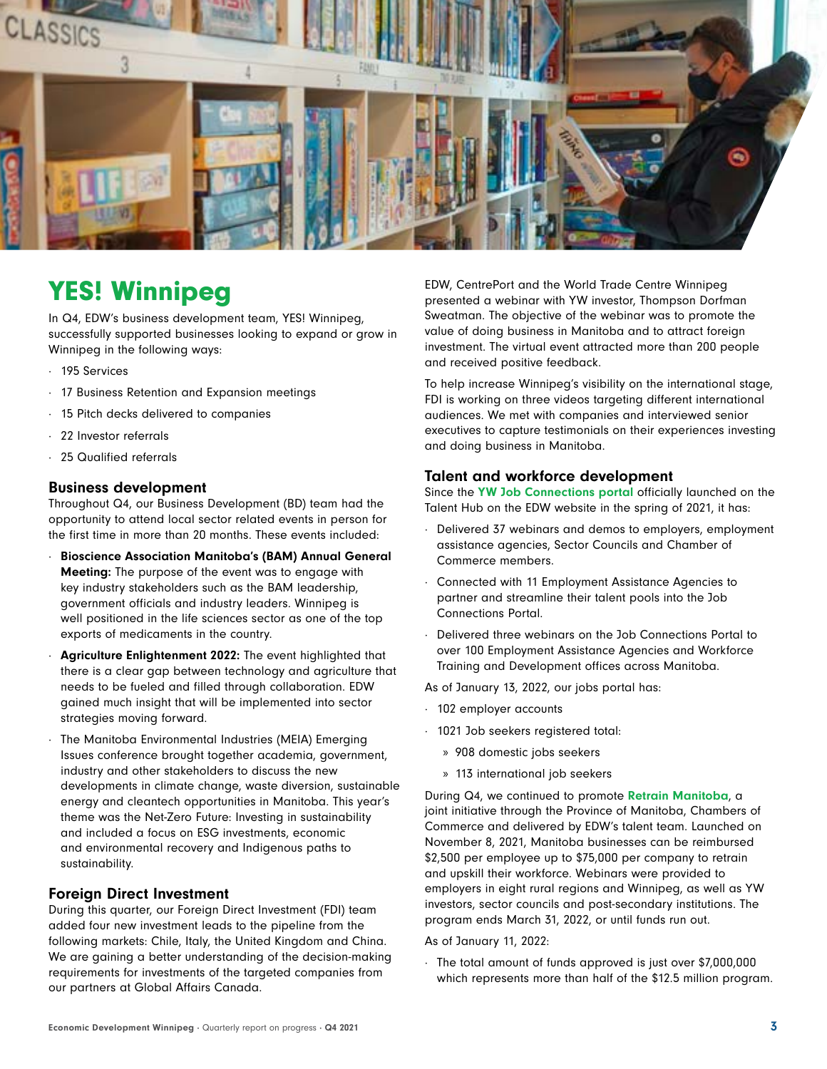

# YES! Winnipeg

In Q4, EDW's business development team, YES! Winnipeg, successfully supported businesses looking to expand or grow in Winnipeg in the following ways:

- ∙ 195 Services
- ∙ 17 Business Retention and Expansion meetings
- ∙ 15 Pitch decks delivered to companies
- ∙ 22 Investor referrals
- 25 Qualified referrals

#### Business development

Throughout Q4, our Business Development (BD) team had the opportunity to attend local sector related events in person for the first time in more than 20 months. These events included:

- ∙ Bioscience Association Manitoba's (BAM) Annual General Meeting: The purpose of the event was to engage with key industry stakeholders such as the BAM leadership, government officials and industry leaders. Winnipeg is well positioned in the life sciences sector as one of the top exports of medicaments in the country.
- ∙ Agriculture Enlightenment 2022: The event highlighted that there is a clear gap between technology and agriculture that needs to be fueled and filled through collaboration. EDW gained much insight that will be implemented into sector strategies moving forward.
- ∙ The Manitoba Environmental Industries (MEIA) Emerging Issues conference brought together academia, government, industry and other stakeholders to discuss the new developments in climate change, waste diversion, sustainable energy and cleantech opportunities in Manitoba. This year's theme was the Net-Zero Future: Investing in sustainability and included a focus on ESG investments, economic and environmental recovery and Indigenous paths to sustainability.

### Foreign Direct Investment

During this quarter, our Foreign Direct Investment (FDI) team added four new investment leads to the pipeline from the following markets: Chile, Italy, the United Kingdom and China. We are gaining a better understanding of the decision-making requirements for investments of the targeted companies from our partners at Global Affairs Canada.

EDW, CentrePort and the World Trade Centre Winnipeg presented a webinar with YW investor, Thompson Dorfman Sweatman. The objective of the webinar was to promote the value of doing business in Manitoba and to attract foreign investment. The virtual event attracted more than 200 people and received positive feedback.

To help increase Winnipeg's visibility on the international stage, FDI is working on three videos targeting different international audiences. We met with companies and interviewed senior executives to capture testimonials on their experiences investing and doing business in Manitoba.

### Talent and workforce development

Since the [YW Job Connections portal](https://www.winnipegtalenthub.com/job-seekers/find-a-job) officially launched on the Talent Hub on the EDW website in the spring of 2021, it has:

- ∙ Delivered 37 webinars and demos to employers, employment assistance agencies, Sector Councils and Chamber of Commerce members.
- ∙ Connected with 11 Employment Assistance Agencies to partner and streamline their talent pools into the Job Connections Portal.
- ∙ Delivered three webinars on the Job Connections Portal to over 100 Employment Assistance Agencies and Workforce Training and Development offices across Manitoba.

As of January 13, 2022, our jobs portal has:

- ∙ 102 employer accounts
- ∙ 1021 Job seekers registered total:
	- » 908 domestic jobs seekers
	- » 113 international job seekers

During Q4, we continued to promote [Retrain Manitoba](https://www.retrainmanitoba.com/), a joint initiative through the Province of Manitoba, Chambers of Commerce and delivered by EDW's talent team. Launched on November 8, 2021, Manitoba businesses can be reimbursed \$2,500 per employee up to \$75,000 per company to retrain and upskill their workforce. Webinars were provided to employers in eight rural regions and Winnipeg, as well as YW investors, sector councils and post-secondary institutions. The program ends March 31, 2022, or until funds run out.

#### As of January 11, 2022:

∙ The total amount of funds approved is just over \$7,000,000 which represents more than half of the \$12.5 million program.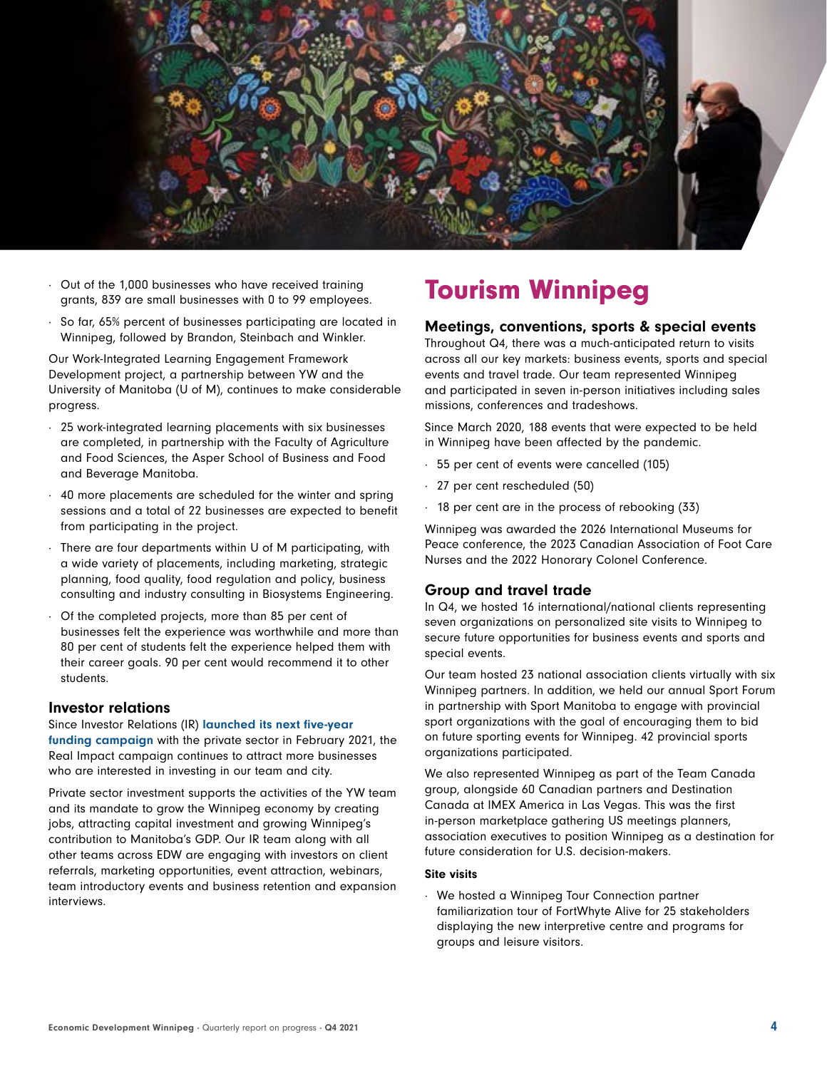

- Put of the 1,000 businesses who have received training<br>
Fourism Winnipeg grants, 839 are small businesses with 0 to 99 employees.
- ∙ So far, 65% percent of businesses participating are located in Winnipeg, followed by Brandon, Steinbach and Winkler.

Our Work-Integrated Learning Engagement Framework Development project, a partnership between YW and the University of Manitoba (U of M), continues to make considerable progress.

- ∙ 25 work-integrated learning placements with six businesses are completed, in partnership with the Faculty of Agriculture and Food Sciences, the Asper School of Business and Food and Beverage Manitoba.
- ∙ 40 more placements are scheduled for the winter and spring sessions and a total of 22 businesses are expected to benefit from participating in the project.
- ∙ There are four departments within U of M participating, with a wide variety of placements, including marketing, strategic planning, food quality, food regulation and policy, business consulting and industry consulting in Biosystems Engineering.
- ∙ Of the completed projects, more than 85 per cent of businesses felt the experience was worthwhile and more than 80 per cent of students felt the experience helped them with their career goals. 90 per cent would recommend it to other students.

#### Investor relations

Since Investor Relations (IR) launched its next five-year [funding campaign](https://www.economicdevelopmentwinnipeg.com/yes-winnipeg/campaign-2025) with the private sector in February 2021, the Real Impact campaign continues to attract more businesses who are interested in investing in our team and city.

Private sector investment supports the activities of the YW team and its mandate to grow the Winnipeg economy by creating jobs, attracting capital investment and growing Winnipeg's contribution to Manitoba's GDP. Our IR team along with all other teams across EDW are engaging with investors on client referrals, marketing opportunities, event attraction, webinars, team introductory events and business retention and expansion interviews.

#### Meetings, conventions, sports & special events

Throughout Q4, there was a much-anticipated return to visits across all our key markets: business events, sports and special events and travel trade. Our team represented Winnipeg and participated in seven in-person initiatives including sales missions, conferences and tradeshows.

Since March 2020, 188 events that were expected to be held in Winnipeg have been affected by the pandemic.

- ∙ 55 per cent of events were cancelled (105)
- ∙ 27 per cent rescheduled (50)
- ∙ 18 per cent are in the process of rebooking (33)

Winnipeg was awarded the 2026 International Museums for Peace conference, the 2023 Canadian Association of Foot Care Nurses and the 2022 Honorary Colonel Conference.

#### Group and travel trade

In Q4, we hosted 16 international/national clients representing seven organizations on personalized site visits to Winnipeg to secure future opportunities for business events and sports and special events.

Our team hosted 23 national association clients virtually with six Winnipeg partners. In addition, we held our annual Sport Forum in partnership with Sport Manitoba to engage with provincial sport organizations with the goal of encouraging them to bid on future sporting events for Winnipeg. 42 provincial sports organizations participated.

We also represented Winnipeg as part of the Team Canada group, alongside 60 Canadian partners and Destination Canada at IMEX America in Las Vegas. This was the first in-person marketplace gathering US meetings planners, association executives to position Winnipeg as a destination for future consideration for U.S. decision-makers.

#### Site visits

∙ We hosted a Winnipeg Tour Connection partner familiarization tour of FortWhyte Alive for 25 stakeholders displaying the new interpretive centre and programs for groups and leisure visitors.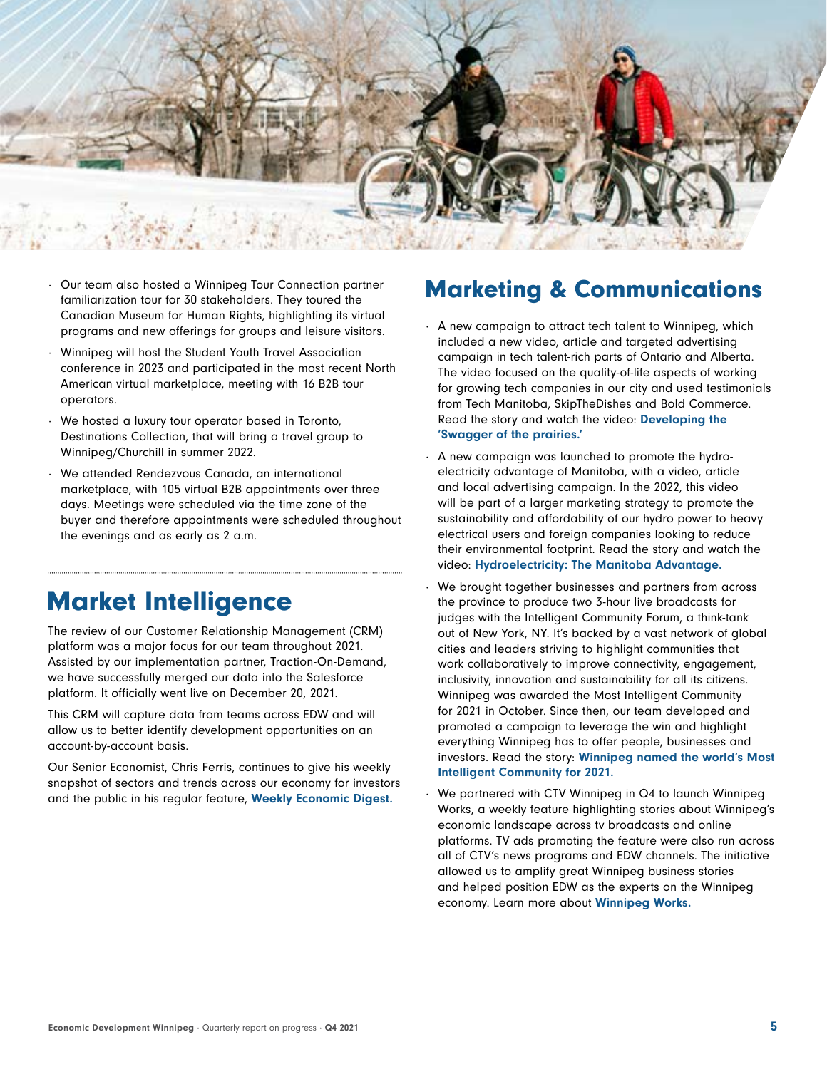

- ∙ Our team also hosted a Winnipeg Tour Connection partner familiarization tour for 30 stakeholders. They toured the Canadian Museum for Human Rights, highlighting its virtual programs and new offerings for groups and leisure visitors.
- ∙ Winnipeg will host the Student Youth Travel Association conference in 2023 and participated in the most recent North American virtual marketplace, meeting with 16 B2B tour operators.
- ∙ We hosted a luxury tour operator based in Toronto, Destinations Collection, that will bring a travel group to Winnipeg/Churchill in summer 2022.
- ∙ We attended Rendezvous Canada, an international marketplace, with 105 virtual B2B appointments over three days. Meetings were scheduled via the time zone of the buyer and therefore appointments were scheduled throughout the evenings and as early as 2 a.m.

## Market Intelligence

The review of our Customer Relationship Management (CRM) platform was a major focus for our team throughout 2021. Assisted by our implementation partner, Traction-On-Demand, we have successfully merged our data into the Salesforce platform. It officially went live on December 20, 2021.

This CRM will capture data from teams across EDW and will allow us to better identify development opportunities on an account-by-account basis.

Our Senior Economist, Chris Ferris, continues to give his weekly snapshot of sectors and trends across our economy for investors and the public in his regular feature, [Weekly Economic Digest.](https://www.economicdevelopmentwinnipeg.com/media/corporate-publications)

### Marketing & Communications

- ∙ A new campaign to attract tech talent to Winnipeg, which included a new video, article and targeted advertising campaign in tech talent-rich parts of Ontario and Alberta. The video focused on the quality-of-life aspects of working for growing tech companies in our city and used testimonials from Tech Manitoba, SkipTheDishes and Bold Commerce. Read the story and watch the video: [Developing the](https://www.economicdevelopmentwinnipeg.com/newsroom/read,post/954/developing-the-swagger-of-the-prairies)  ['Swagger of the prairies.'](https://www.economicdevelopmentwinnipeg.com/newsroom/read,post/954/developing-the-swagger-of-the-prairies)
- ∙ A new campaign was launched to promote the hydroelectricity advantage of Manitoba, with a video, article and local advertising campaign. In the 2022, this video will be part of a larger marketing strategy to promote the sustainability and affordability of our hydro power to heavy electrical users and foreign companies looking to reduce their environmental footprint. Read the story and watch the video: [Hydroelectricity: The Manitoba Advantage](https://www.economicdevelopmentwinnipeg.com/newsroom/read,post/956/hydroelectricity-the-manitoba-advantage).
- ∙ We brought together businesses and partners from across the province to produce two 3-hour live broadcasts for judges with the Intelligent Community Forum, a think-tank out of New York, NY. It's backed by a vast network of global cities and leaders striving to highlight communities that work collaboratively to improve connectivity, engagement, inclusivity, innovation and sustainability for all its citizens. Winnipeg was awarded the Most Intelligent Community for 2021 in October. Since then, our team developed and promoted a campaign to leverage the win and highlight everything Winnipeg has to offer people, businesses and investors. Read the story: [Winnipeg named the world's Most](https://www.economicdevelopmentwinnipeg.com/newsroom/read,post/965/winnipeg-named-the-world-s-most-intelligent-community-for-2021)  [Intelligent Community for 2021](https://www.economicdevelopmentwinnipeg.com/newsroom/read,post/965/winnipeg-named-the-world-s-most-intelligent-community-for-2021).
- ∙ We partnered with CTV Winnipeg in Q4 to launch Winnipeg Works, a weekly feature highlighting stories about Winnipeg's economic landscape across tv broadcasts and online platforms. TV ads promoting the feature were also run across all of CTV's news programs and EDW channels. The initiative allowed us to amplify great Winnipeg business stories and helped position EDW as the experts on the Winnipeg economy. Learn more about [Winnipeg Works.](https://www.economicdevelopmentwinnipeg.com/newsroom/read,post/953/winnipeg-works)